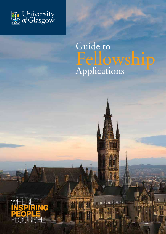

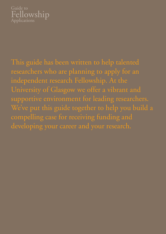

This guide has been written to help talented researchers who are planning to apply for an independent research Fellowship. At the University of Glasgow we offer a vibrant and supportive environment for leading researchers. We've put this guide together to help you build a compelling case for receiving funding and developing your career and your research.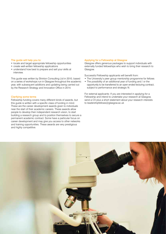#### The guide will help you to:

- locate and target appropriate fellowship opportunities
- create well-written fellowship applications
- understand how best to prepare and sell your skills at interview.

This guide was written by Shinton Consulting Ltd in 2010, based on a series of workshops run in Glasgow throughout the academic year, with subsequent additions and updating being carried out by the Research Strategy and Innovation Office in 2014.

#### Clarifying some terms

Fellowship funding covers many different kinds of awards, but this guide is written with a specific class of funding in mind. These are the career development awards given to individuals near the start of their academic careers. These awards allow people to develop their independent research vision, to start building a research group and to position themselves to secure a permanent academic contract. Some have a particular focus on career development and may give you access to other networks and training opportunities. These awards are very prestigious and highly competitive.

#### Applying for a Fellowship at Glasgow

Glasgow offers generous packages to support individuals with externally funded fellowships who wish to bring their research to Glasgow.

Successful Fellowship applicants will benefit from:

- The University's peer group mentorship programme for fellows
- The possibility of an additional year of funding and / or the opportunity to be transferred to an open ended lecturing contract, subject to performance and strategic fit.

For external applicants: If you are interested in applying for a Fellowship and intend to undertake your research at Glasgow, send a CV plus a short statement about your research interests to leadershipfellows@glasgow.ac.uk

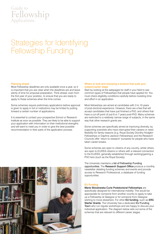## Strategies for Identifying Fellowship Funding

#### Planning ahead

Most Fellowship deadlines are only available once a year, so it is important that you are clear when the deadlines are and leave plenty of time for proposal preparation. Think ahead, even from the first year of your postdoc, to ensure that you are ready to apply to these schemes when the time comes.

Some schemes require preliminary applications before approval is given to apply in full or institutions may be limited to putting forward a certain number of applications.

It is essential to contact your prospective School or Research Institute as soon as possible. They are likely to be able to support your application with information on their institutional strengths and will want to meet you in order to give the best possible recommendation in their parts of the application process.

#### Where to look and choosing a scheme that suits your subject/career stage

Start by looking at the webpages for staff in your field to see common types of Fellowships that people have applied for. You must check eligibility conditions carefully before investing time and effort in an application.

Most fellowships are aimed at candidates with 3 to 10 years of post-doctoral experience. However, there are a few that will accept candidates that have just finished a PhD, and others that have a cut-off point of just 6 or 7 years post-PhD. Many schemes are restricted to a relatively narrow range of subjects, in the same way that other research grants are.

Some schemes are specifically aimed at improving diversity, by supporting scientists who have interrupted their careers or need flexibility for family reasons (e.g. Royal Society Dorothy Hodgkin Fellowships or Daphne Jackson Fellowships) and the Research Councils offer 'return to research' bursaries for people who have taken career breaks.

Some schemes are open to citizens of any country, whilst others are open to EU/EEA citizens or others with a relevant connection to the EU/EEA, generally established through working/gaining a PhD here (such as the Royal Society).

The University maintains a list of Fellowship Funding opportunities. The Research Support Office produce a monthly newsletter detailing funding schemes and events and provide access to Research Professional, a database of funding opportunities.

#### EU Funding

Marie Sklodowska Curie Postdoctoral Fellowships are specifically designed for international mobility. This would be appropriate for someone from another country to apply to take up a Fellowship at Glasgow or for someone from Glasgow wishing to move elsewhere. For other EU funding, such as ERC Starter Grants, The University has a dedicated EU Funding Team who run regular workshops and are happy to discuss your individual application. The diagram below sets out some of the schemes that are relevant to different career stages.

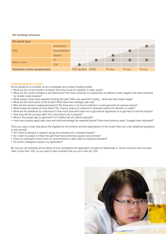#### EU funding schemes

| <b>EU grant type</b>               |                |                  |        |        |        |
|------------------------------------|----------------|------------------|--------|--------|--------|
| <b>ERC</b>                         | Advanced       |                  |        |        |        |
|                                    | Consolidator   |                  |        |        |        |
|                                    | <b>Starter</b> |                  |        |        |        |
| <b>Marie Curie</b>                 | IF             |                  |        |        |        |
|                                    | <b>ITN</b>     |                  |        |        |        |
| <b>Research career progression</b> |                | PhD student PDRA | PI new | PI mid | PI exp |

#### Understanding your Funder

Some questions to consider as you investigate and contact funding bodies:

- What are the current trends in funding? Are there funds for research in other areas?
- What are the current limitations and restrictions? Are there schemes for researchers at different career stages? Are there schemes for smaller scale projects?
- What subject areas were awarded funding last year? Who was awarded funding what was their career stage?
- What are the future plans of the funder? What does their strategic plan say?
- Who are the decision-makers/assessors? Are there any in my home institution I could approach for general advice?
- What review processes do they follow? Do I have a chance to respond to reviewers before the decision is made?
- What are the deadlines for submission? How much time will it take me to get internal signatures or to get help to cost the project?
- How long will the process take? Do I have time to do it properly?
- What is the proper way to approach? Is it initially with an outline proposal?
- How many people apply each year and what percentage are awarded grants? How have previous years' budgets been allocated?

Once you have a clear idea about the eligibility for the scheme and the expectations of the funder there are a few additional questions to ask yourself:

- Am I keen to develop a research group and develop into a research leader?
- Do I want my career to follow the path that these schemes support and promote?
- Does my publication record and my achievements to date meet the required standard?
- Do senior colleagues support my application?

By now you are probably all too aware of how competitive the application process for fellowships is. Some schemes have success rates of less than 10%, so you need to feel confident that you are in this top 10%

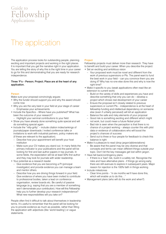## The application

The application process looks for outstanding people, planning exciting and important projects and working in the right places. It is important that you get the narrative right in your application. You are telling the story of why this is the right time in your career to go for this and demonstrating that you are ready for research independence.

#### Three 'P's – Person; Project; Place are at the heart of any application.

#### Person

Make sure your proposal convincingly argues:

- Why the funder should support you and why the award should come now
- Why you are the very best in your field at your stage of career – Emphasise your achievements
- Include the Specifics Where have you published? What has been the outcome of your research?
- Highlight your seminal contributions to your field
- Show you have already done something quite special and will do something special again
- Include the "nitty-gritty" include citation index/rankings of journals/paper downloads / invited conference talks or invitations to work with industrial partners, policy makers etc (if these are relevant to the application).
	- Describe how your appointment will benefit your host institution
	- Make sure your CV makes you stand out. In many fields the primary indicator is your publications and the panel will be looking for first and last author papers in top journals. In some fields, the expectation will be at least 50% first author and they may look for journals with wider readership.
- Your potential as a research leader
	- Give evidence that you are becoming a PI (principal investigator) and provide evidence you can manage a team and mentor others.
	- Describe how you are driving things forward in your field. Give evidence of where you have been invited to contribute to professional bodies, taken a lead on conference organisation, review boards etc. Be careful of passive language (e.g. saying that you are a member of something won't demonstrate your contribution). How will this Fellowship help you to further develop your research independence? What new responsibilities will you take on?

People often find it difficult to talk about themselves in leadership terms. It's useful to remember that the panel will be looking for you to provide evidence as much as possible, rather than filling the application with adjectives (like 'world leading') or vague statements.

#### **Project**

Fellowship projects must deliver more than research. They have to benefit and build your career. When you describe the project: • Set an exciting and ambitious vision

- Your proposed work must be novel and different from the work of previous supervisors or PIs. The panel want to fund the best work in your field – can you convince them you are doing it? Why has no-one else done this and why is now the right time?
- Make it specific to you (weak applications often read like an extension to current work)
	- Build on the variety of skills and experiences you have and describe something that only you can do – develop a project which shows real development of your career
	- Ensure the proposal isn't closely related to previous supervisors or current PIs – independence is at the heart of fellowship funding and intellectual dependency on someone else (even if unfairly perceived) will kill an application
	- Balance the safe and risky elements of your proposal
	- Good risk is something exciting and different which might not work, but could mean a future Nobel prize!
	- Bad risk is seen when the perception is that there is no chance of a project working – always counter this with pilot data or evidence of collaborators who will boost the project's chances of success
	- Send out to three or four people for feedback to check this balance is right
- Make it a pleasure to read (drop jargon/abbreviations)
	- Be aware that the panel may be very diverse and that concepts and terms can mean different things outside your topic. Don't let the key messages get lost within jargon.
- Have fall back/contingency plans
	- If there is a 'bad' risk, build in a safety net. Recognise the risks and have alternative plans - if things go wrong early, there are still avenues to explore in subsequent years. Major reason for rejection is the 100% faith in things working
- Include milestones
	- Clear time points "in six months we'll have done this, which will enable us to do this...'
- Management plans (who will do the work and when?)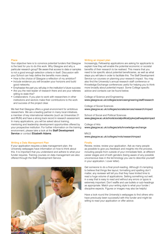#### Place

Your objective here is to convince potential funders that Glasgow is the best for you to do this work. Why Glasgow and why a particular research group? Be aware that access to data or samples is not a good enough selection criteria in itself. Discussion with your School can help define the benefits more clearly.

- How is the choice of Glasgow a reflection of my ambition?
- Include evidence you will broaden your horizons and build good networks.
- Emphasise the part you will play in the institution's future success
- Are you the next leader of research there and are your referees willing to state this?
- Collaborators: If you plan to work with researchers in other institutions and sectors make their contributions to the work and success of the project clear.

We feel that Glasgow offers a great environment for ambitious researchers. We are a leading partner in many local initiatives, a member of key international networks (such as Universitas 21 and IRUN) and have a strong track record in research assessment. In many applications, you will be asked about training, mentoring and leadership development opportunities offered by your prospective institution. For further information on the training environment, please take a look at the Staff Development Service or contact Elizabeth Adams.

#### Writing a Data Management Plan

If your application requires a data management plan, the University webpages have information on how to think about this. It is important that you understand and adhere to what your funder requires. Training courses on data management are also offered through the Staff Development Service.



#### Writing an impact plan

Increasingly, Fellowship applications are asking for applicants to explain how they will enable the potential economic or societal benefits of their research to be realised. This means that you need to be specific about potential beneficiaries, as well as what steps you will take in order to facilitate this. The Staff Development Service run courses on planning your research impact. You may also find the University's annual research staff conference or Knowledge Exchange conferences useful for helping you to think more broadly about potential impact. Some College specific advice and contacts can be found below.

College of Science and Engineering www.glasgow.ac.uk/colleges/scienceengineering/staff/research

College of Social Sciences www.glasgow.ac.uk/colleges/socialsciences/research/impact

School of Social and Political Sciences www.glasgow.ac.uk/schools/socialpolitical/ppke/pathwaystoimpact

College of Arts www.glasgow.ac.uk/colleges/arts/knowledge-exchange

MVLS www.glasgow.ac.uk/colleges/mvls/researchimpact

#### Finally

Review, review, review your application. Ask as many people as possible to give you feedback and insights into the process, including people from outside of your immediate field, at different career stages and of both genders (being aware of any possible unconscious bias in the terminology you use to describe yourself in your application / cover letter).

Get someone to do a final proof-reading. Although it's tempting to believe that things like layout, formatting and spelling don't matter, any reviewer will tell you that they have limited time to read a huge volume of applications. Setting something out well, in a way that is easy to read and without any errors or typos is extremely important. Don't waffle and use bullets or sub-headings as appropriate. Match your writing style to what your funder / discipline expects. Figures or images may also be helpful.

Have a look round the University's webpages to find others who have previously been successful with this funder and might be willing to read your application or offer advice.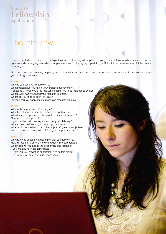## The interview

If you are invited for a research fellowship interview, the University will help by arranging a mock interview with senior staff. This is a rigorous and challenging way to test your preparedness for the big day. Speak to your School, to ask whether a mock interview can be arranged.

No mock questions can really prepare you for the scrutiny and pressure of the day, but these questions should help you to prepare your thinking in advance.

#### Person

Why do you deserve this fellowship? What impact have you had in your professional community? If successful, what would the fellowship enable you to do? (career objectives) Whose work has influenced your research interests? Where do you hope to be in ten years? Tell me about your approach to managing research projects.

#### **Project**

What is the importance of this project? What has changed in your field since your application? Why does your approach to this problem deserve this award? Convince me your project is feasible If you could only do one experiment/study, which is key? What will you do if your hypothesis is proved wrong? What would the ideal outcome of this project be? (research objectives)

Who are your main competitors? Can you compete with them?

#### Place

Why have you chosen that department for your fellowship? How will you complement the existing departmental strengths? What value will you add to the department and institution? If you are staying in the same place

 'Why are you staying in department X to do this project?' 'How will you ensure your independence?'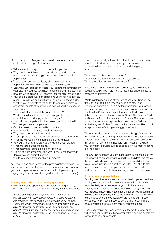Researchers from Glasgow have provided us with their own questions from a range of interviews:

- Tell me about your approach to managing people.
- Why should this fellowship be awarded to you when other researchers are evidencing success with other alternative approaches?
- Your department has no history of doing research into this approach – why should we take this chance on you?
- Looking at your publication record, your papers are dominated by your lead PI. How have you shown independence in the past and how can we be sure you will become independent in the future?
- Your application focuses on expanding your expertise into new areas. How can we be sure that you can pick up these skills?
- What do you anticipate might be the longer term societal or economic impacts of your work and how will you help to realise these impacts?
- How long before this work becomes obsolete?
- What did you learn from the process of your last research project, that you will apply in the next project?
- How will you compete with other researchers in your field? Who are your main competitors?
- Can this research progress without this funding?
- How do you feel about your publication record?
- Why do you deserve this fellowship?
- What impact have you had in your professional community?
- What makes you different from the other candidates?
- How will this fellowship allow you to develop your career?
- What are your career intentions?
- What motivates you to get up in the morning?
- Explain to a lay person why this work is more important than (topical science subject inserted)
- Would you need any specialist equipment?

You should also check whether the post might involve teaching and consider whether they are likely to ask you about this (e.g. your teaching experience, use of new technologies, ability to engage large numbers of Undergraduates in a lecture theatre).

#### Some general advice on answering questions

From the advice to applicants to the Fulbright programme (a prestigious scheme for US students to study in foreign countries)

*" A basic starting point in preparing for any interview is self-assessment - think about yourself in a specific setting and reflect on your abilities to be successful in that setting. What experience, knowledge, skills, or special training do you have to make you confident in your ability to pursue your project? What aptitudes, experience, or personal traits do you have to make you confident in your ability to navigate a new cultural environment? "*

This advice is equally relevant to Fellowship interviews. Think about the interview as an opportunity to put across the information that the panel must have in order to give you the award.

What do you really want to get across? What kinds of questions would allow you to do this? Which scenarios convey this information?

If you have thought this through in advance, as you are asked questions you will be more likely to recognise opportunities to present vital information.

Waffle in interviews is one of your worst enemies. Time will be tight, so think about the very best selling points. Short, informative answers will give a better impression. For practical advice in framing responses one acronym to remember is STAR – outline the Scenario, describe the Task that led to your Achievement and positive outcome or Result. The Careers Service and Careers Adviser for Researchers (Katrina Gardner) can give you advice on structuring interview questions (for Fellowships and other types of jobs). Contact Katrina if you would like to book an appointment (Katrina.gardner@glasgow.ac.uk).

When answering, talk to the whole panel although focusing on the person who asked the question. Be aware that people have different body language, which doesn't necessarily reflect their thinking! The "smilers and nodders" on the panel may build your confidence, but be sure to engage even the most negative looking people.

There will be questions you can't anticipate, but the focus of the interview will be on ensuring they find the candidate who meets the funding body's criteria. Be clear on these and don't hesitate to ask for clarification if a question isn't clear. You should also take a moment to consider your answer – the panel will understand your need to think, as long as you aren't too slow!

#### A quick note on presentations

Running over time in a presentation can lead to panel members scoring you negatively. Talk to others in your field about who might be likely to be on the panel (e.g. will there be an industry representative or people from other fields) and pitch your language accordingly. You should practice your presentation to others in your School, prior to the interview. You may also wish to sign up to one of the University's 'presenting with impact' workshops, which cover how you control your breathing and body language to give a more confident presentation.

Finally, say thank you – whatever the outcome, the experience will be one you will learn a huge amount from and the panels are made up of very busy people.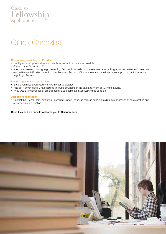## Quick Checklist

#### One to two years into your Postdoc

- Identify suitable opportunities and deadlines, as far in advance as possible
- Speak to your School and PI
- Attend any relevant training (e.g. presenting, Fellowship workshops, careers interviews, writing an impact statement). Keep an eye on Research Funding news from the Research Support Office as there are sometimes workshops on a particular funder (e.g. Royal Society)

#### Putting together your application

- Ensure you have addressed the 3 Ps in your application.
- Find out if anyone locally has secured this type of funding in the past and might be willing to advise.
- If you would like feedback or proof-reading, give people as much warning as possible

#### Just before application

• Contact the Grants Team, within the Research Support Office, as early as possible to discuss justification of costs/costing and submission of application.

#### Good luck and we hope to welcome you to Glasgow soon!